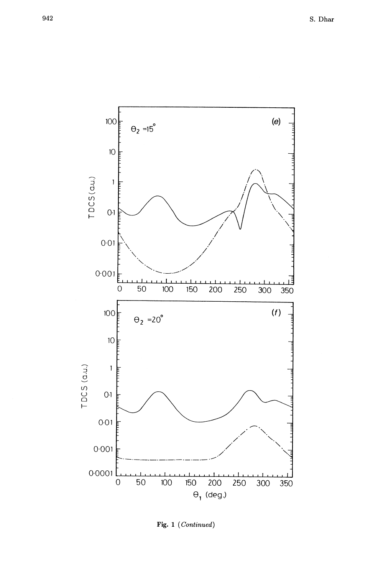

Fig. 1 (Continued)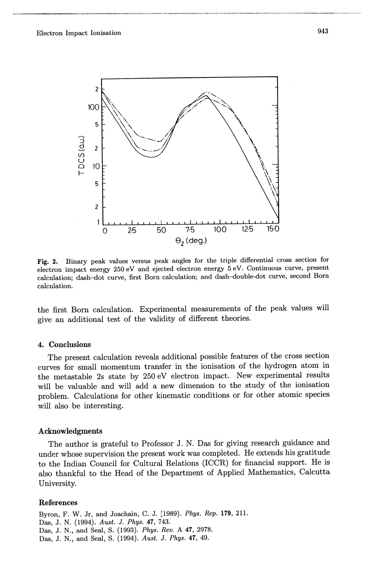--------------------\_ .. ----------------



Fig. 2. Binary peak values versus peak angles for the triple differential cross section for electron impact energy 250 eV and ejected electron energy 5 eV. Continuous curve, present calculation; dash-dot curve, first Born calculation; and dash-double-dot curve, second Born calculation.

the first Born calculation. Experimental measurements of the peak values will give an additional test of the validity of different theories.

## 4. Conclusions

The present calculation reveals additional possible features of the cross section curves for small momentum transfer in the ionisation of the hydrogen atom in the metastable 2s state by 250 eV electron impact. New experimental results will be valuable and will add a new dimension to the study of the ionisation problem. Calculations for other kinematic conditions or for other atomic species will also be interesting.

## Acknowledgments

The author is grateful to Professor J. N. Das for giving research guidance and under whose supervision the present work was completed. He extends his gratitude to the Indian Council for Cultural Relations (ICCR) for financial support. He is also thankful to the Head of the Department of Applied Mathematics, Calcutta University.

## References

Byron, F. W. Jr, and Joachain, C. J. (1989). *Phys. Rep.* 179, 211. Das, J. N. (1994). *Aust.* J. *Phys.* 47, 743. Das, J. N., and Seal, S. (1993). *Phys. Rev.* A 47, 2978. Das, J. N., and Seal, S. (1994). *Aust.* J. *Phys.* 47, 49.